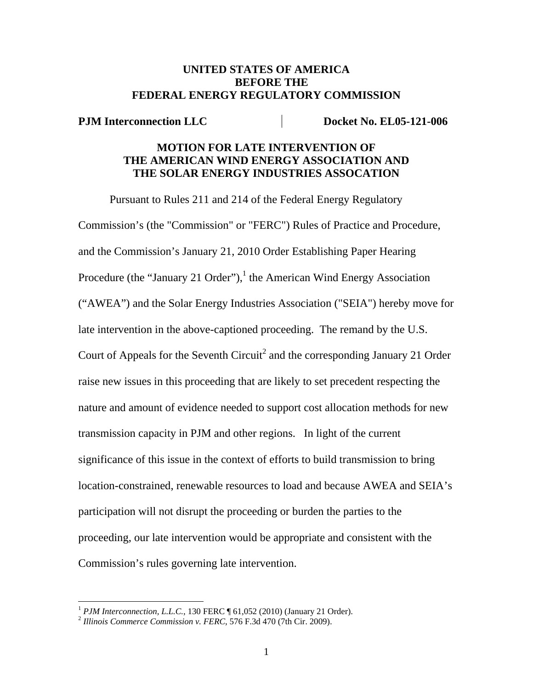## **UNITED STATES OF AMERICA BEFORE THE FEDERAL ENERGY REGULATORY COMMISSION**

**PJM Interconnection LLC** Docket No. EL05-121-006

## **MOTION FOR LATE INTERVENTION OF THE AMERICAN WIND ENERGY ASSOCIATION AND THE SOLAR ENERGY INDUSTRIES ASSOCATION**

Pursuant to Rules 211 and 214 of the Federal Energy Regulatory Commission's (the "Commission" or "FERC") Rules of Practice and Procedure, and the Commission's January 21, 2010 Order Establishing Paper Hearing Procedure (the "January 21 Order"),<sup>1</sup> the American Wind Energy Association ("AWEA") and the Solar Energy Industries Association ("SEIA") hereby move for late intervention in the above-captioned proceeding. The remand by the U.S. Court of Appeals for the Seventh Circuit<sup>2</sup> and the corresponding January 21 Order raise new issues in this proceeding that are likely to set precedent respecting the nature and amount of evidence needed to support cost allocation methods for new transmission capacity in PJM and other regions. In light of the current significance of this issue in the context of efforts to build transmission to bring location-constrained, renewable resources to load and because AWEA and SEIA's participation will not disrupt the proceeding or burden the parties to the proceeding, our late intervention would be appropriate and consistent with the Commission's rules governing late intervention.

 $\overline{a}$ 

<sup>&</sup>lt;sup>1</sup> *PJM Interconnection, L.L.C.*, 130 FERC ¶ 61,052 (2010) (January 21 Order).<br><sup>2</sup> *Illinois Commerce Commission v. FERC*, 576 F.3d 470 (7th Cir. 2009).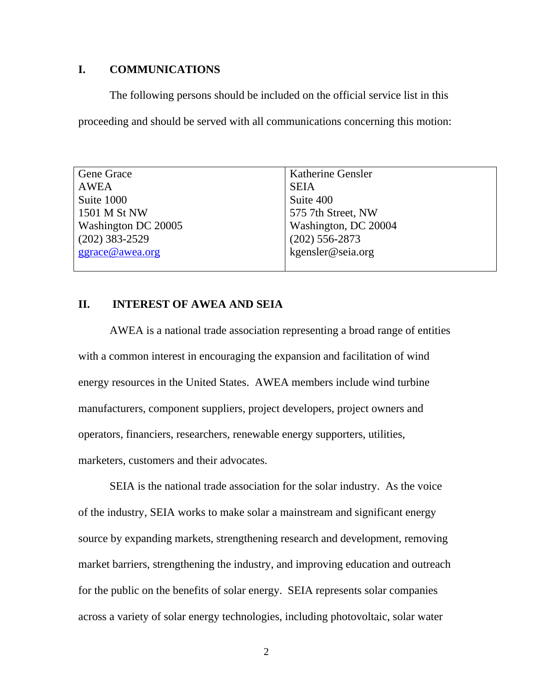# **I. COMMUNICATIONS**

The following persons should be included on the official service list in this proceeding and should be served with all communications concerning this motion:

| Gene Grace          | <b>Katherine Gensler</b> |
|---------------------|--------------------------|
| AWEA                | <b>SEIA</b>              |
| Suite 1000          | Suite 400                |
| 1501 M St NW        | 575 7th Street, NW       |
| Washington DC 20005 | Washington, DC 20004     |
| $(202)$ 383-2529    | $(202)$ 556-2873         |
| ggrace@awea.org     | kgensler@seia.org        |
|                     |                          |

#### **II. INTEREST OF AWEA AND SEIA**

AWEA is a national trade association representing a broad range of entities with a common interest in encouraging the expansion and facilitation of wind energy resources in the United States. AWEA members include wind turbine manufacturers, component suppliers, project developers, project owners and operators, financiers, researchers, renewable energy supporters, utilities, marketers, customers and their advocates.

SEIA is the national trade association for the solar industry. As the voice of the industry, SEIA works to make solar a mainstream and significant energy source by expanding markets, strengthening research and development, removing market barriers, strengthening the industry, and improving education and outreach for the public on the benefits of solar energy. SEIA represents solar companies across a variety of solar energy technologies, including photovoltaic, solar water

2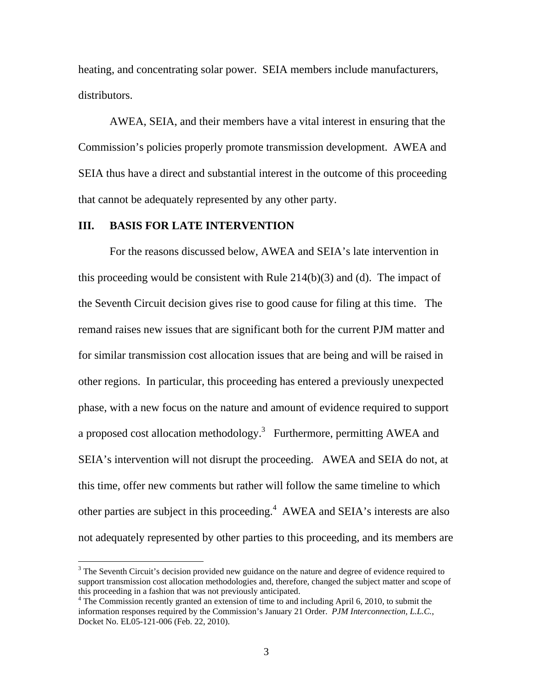heating, and concentrating solar power. SEIA members include manufacturers, distributors.

AWEA, SEIA, and their members have a vital interest in ensuring that the Commission's policies properly promote transmission development. AWEA and SEIA thus have a direct and substantial interest in the outcome of this proceeding that cannot be adequately represented by any other party.

#### **III. BASIS FOR LATE INTERVENTION**

 $\overline{a}$ 

 For the reasons discussed below, AWEA and SEIA's late intervention in this proceeding would be consistent with Rule  $214(b)(3)$  and (d). The impact of the Seventh Circuit decision gives rise to good cause for filing at this time. The remand raises new issues that are significant both for the current PJM matter and for similar transmission cost allocation issues that are being and will be raised in other regions. In particular, this proceeding has entered a previously unexpected phase, with a new focus on the nature and amount of evidence required to support a proposed cost allocation methodology.<sup>3</sup> Furthermore, permitting AWEA and SEIA's intervention will not disrupt the proceeding. AWEA and SEIA do not, at this time, offer new comments but rather will follow the same timeline to which other parties are subject in this proceeding.<sup>4</sup> AWEA and SEIA's interests are also not adequately represented by other parties to this proceeding, and its members are

 $3$  The Seventh Circuit's decision provided new guidance on the nature and degree of evidence required to support transmission cost allocation methodologies and, therefore, changed the subject matter and scope of this proceeding in a fashion that was not previously anticipated.

<sup>&</sup>lt;sup>4</sup> The Commission recently granted an extension of time to and including April 6, 2010, to submit the information responses required by the Commission's January 21 Order. *PJM Interconnection, L.L.C.*, Docket No. EL05-121-006 (Feb. 22, 2010).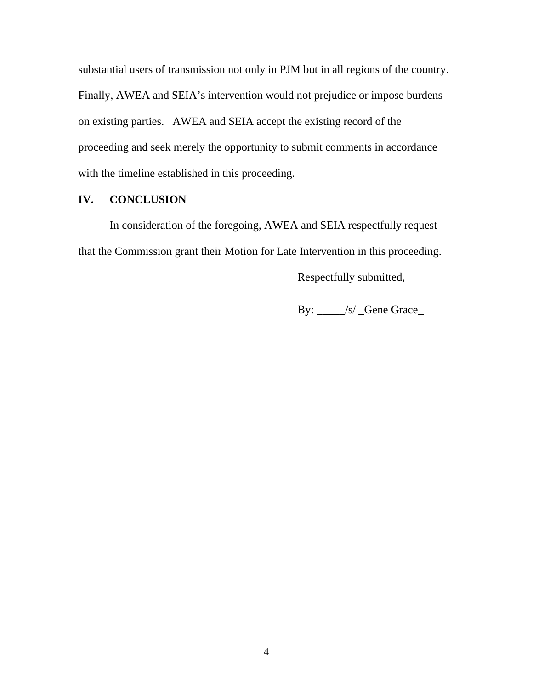substantial users of transmission not only in PJM but in all regions of the country. Finally, AWEA and SEIA's intervention would not prejudice or impose burdens on existing parties. AWEA and SEIA accept the existing record of the proceeding and seek merely the opportunity to submit comments in accordance with the timeline established in this proceeding.

# **IV. CONCLUSION**

In consideration of the foregoing, AWEA and SEIA respectfully request that the Commission grant their Motion for Late Intervention in this proceeding.

Respectfully submitted,

By: \_\_\_\_\_/s/ \_Gene Grace\_